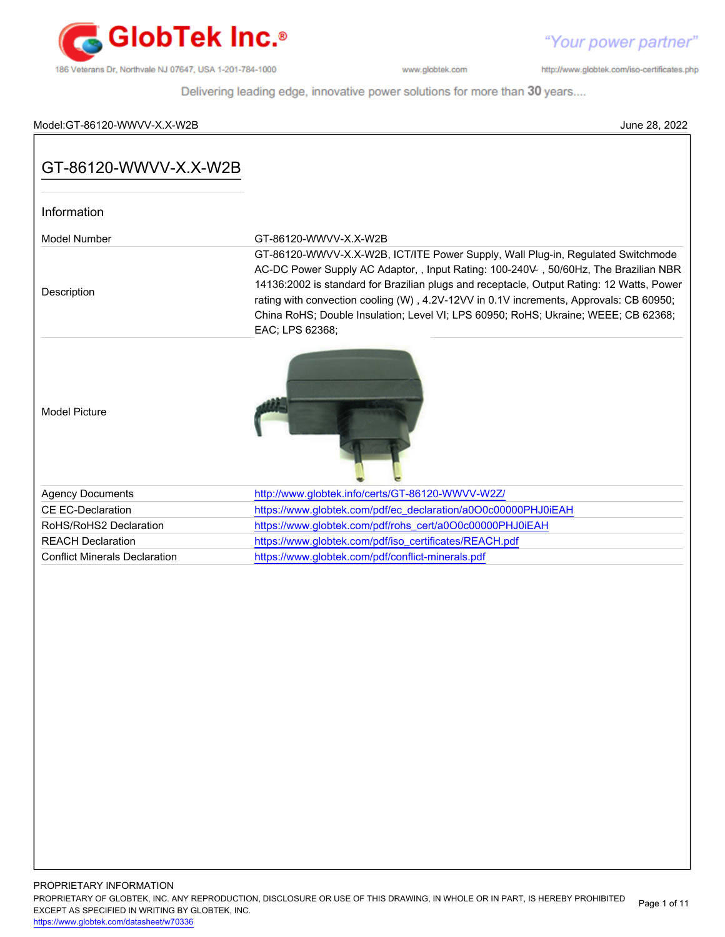

"Your power partner"

http://www.globtek.com/iso-certificates.php

Delivering leading edge, innovative power solutions for more than 30 years....

# Model:GT-86120-WWVV-X.X-W2B June 28, 2022

| Information                          |                                                                                                                                                                                                                                                                                                                                                                                                                                                                         |
|--------------------------------------|-------------------------------------------------------------------------------------------------------------------------------------------------------------------------------------------------------------------------------------------------------------------------------------------------------------------------------------------------------------------------------------------------------------------------------------------------------------------------|
| Model Number                         | GT-86120-WWVV-X.X-W2B                                                                                                                                                                                                                                                                                                                                                                                                                                                   |
| Description                          | GT-86120-WWVV-X.X-W2B, ICT/ITE Power Supply, Wall Plug-in, Regulated Switchmode<br>AC-DC Power Supply AC Adaptor, , Input Rating: 100-240V , 50/60Hz, The Brazilian NBR<br>14136:2002 is standard for Brazilian plugs and receptacle, Output Rating: 12 Watts, Power<br>rating with convection cooling (W), 4.2V-12VV in 0.1V increments, Approvals: CB 60950;<br>China RoHS; Double Insulation; Level VI; LPS 60950; RoHS; Ukraine; WEEE; CB 62368;<br>EAC; LPS 62368; |
| <b>Model Picture</b>                 |                                                                                                                                                                                                                                                                                                                                                                                                                                                                         |
| <b>Agency Documents</b>              | http://www.globtek.info/certs/GT-86120-WWVV-W2Z/                                                                                                                                                                                                                                                                                                                                                                                                                        |
| <b>CE EC-Declaration</b>             | https://www.globtek.com/pdf/ec_declaration/a0O0c00000PHJ0iEAH                                                                                                                                                                                                                                                                                                                                                                                                           |
| RoHS/RoHS2 Declaration               | https://www.globtek.com/pdf/rohs_cert/a0O0c00000PHJ0iEAH                                                                                                                                                                                                                                                                                                                                                                                                                |
| <b>REACH Declaration</b>             | https://www.globtek.com/pdf/iso_certificates/REACH.pdf                                                                                                                                                                                                                                                                                                                                                                                                                  |
| <b>Conflict Minerals Declaration</b> | https://www.globtek.com/pdf/conflict-minerals.pdf                                                                                                                                                                                                                                                                                                                                                                                                                       |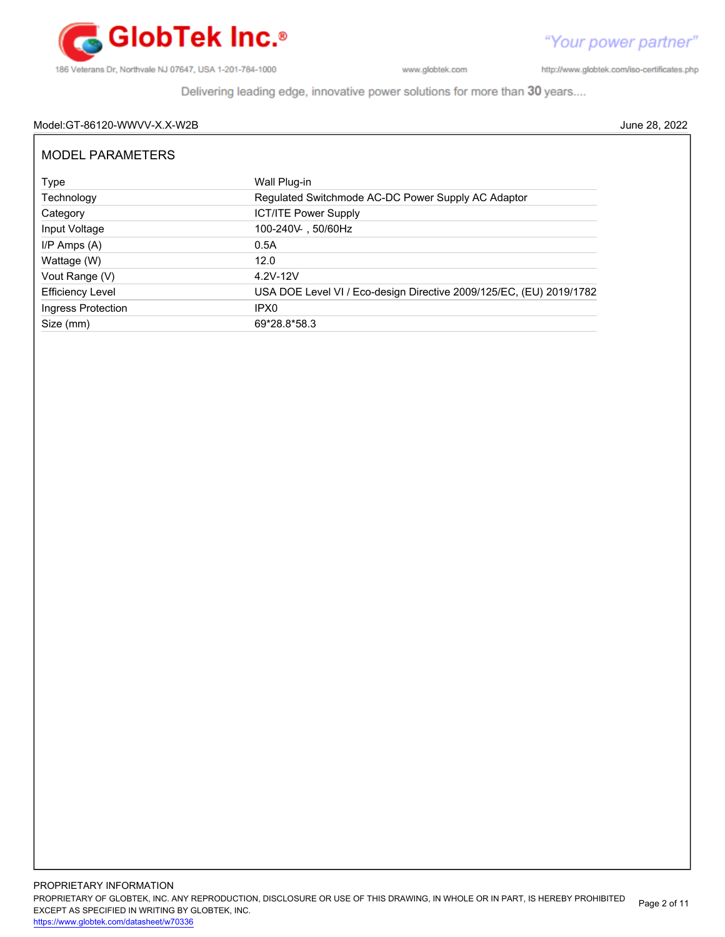

http://www.globtek.com/iso-certificates.php

Delivering leading edge, innovative power solutions for more than 30 years....

# Model:GT-86120-WWVV-X.X-W2B June 28, 2022

| MODEL PARAMETERS        |                                                                     |
|-------------------------|---------------------------------------------------------------------|
| Type                    | Wall Plug-in                                                        |
| Technology              | Regulated Switchmode AC-DC Power Supply AC Adaptor                  |
| Category                | <b>ICT/ITE Power Supply</b>                                         |
| Input Voltage           | 100-240V 50/60Hz                                                    |
| $I/P$ Amps $(A)$        | 0.5A                                                                |
| Wattage (W)             | 12.0                                                                |
| Vout Range (V)          | 4.2V-12V                                                            |
| <b>Efficiency Level</b> | USA DOE Level VI / Eco-design Directive 2009/125/EC, (EU) 2019/1782 |
| Ingress Protection      | IPX <sub>0</sub>                                                    |
| Size (mm)               | 69*28.8*58.3                                                        |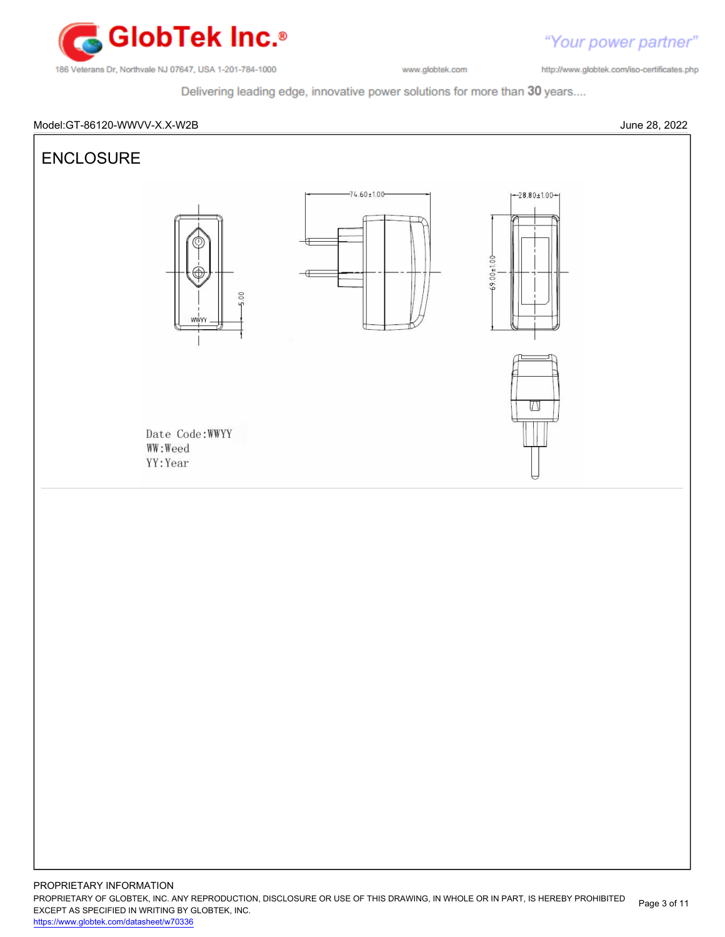

Delivering leading edge, innovative power solutions for more than 30 years....

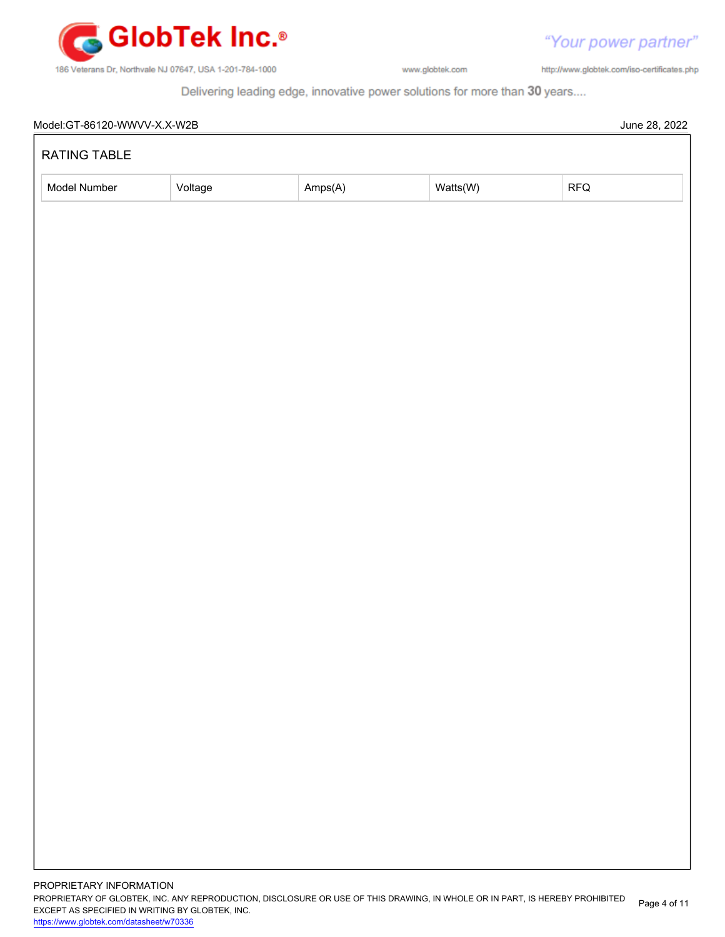

http://www.globtek.com/iso-certificates.php

"Your power partner"

Delivering leading edge, innovative power solutions for more than 30 years....

| RATING TABLE |         |         |          |                | June 28, 2022 |
|--------------|---------|---------|----------|----------------|---------------|
| Model Number | Voltage | Amps(A) | Watts(W) | $\mathsf{RFQ}$ |               |
|              |         |         |          |                |               |
|              |         |         |          |                |               |
|              |         |         |          |                |               |
|              |         |         |          |                |               |
|              |         |         |          |                |               |
|              |         |         |          |                |               |
|              |         |         |          |                |               |
|              |         |         |          |                |               |
|              |         |         |          |                |               |
|              |         |         |          |                |               |
|              |         |         |          |                |               |
|              |         |         |          |                |               |
|              |         |         |          |                |               |
|              |         |         |          |                |               |
|              |         |         |          |                |               |
|              |         |         |          |                |               |
|              |         |         |          |                |               |
|              |         |         |          |                |               |
|              |         |         |          |                |               |
|              |         |         |          |                |               |
|              |         |         |          |                |               |
|              |         |         |          |                |               |
|              |         |         |          |                |               |
|              |         |         |          |                |               |
|              |         |         |          |                |               |
|              |         |         |          |                |               |
|              |         |         |          |                |               |
|              |         |         |          |                |               |
|              |         |         |          |                |               |

PROPRIETARY OF GLOBTEK, INC. ANY REPRODUCTION, DISCLOSURE OR USE OF THIS DRAWING, IN WHOLE OR IN PART, IS HEREBY PROHIBITED EXCEPT AS SPECIFIED IN WRITING BY GLOBTEK, INC. Page 4 of 11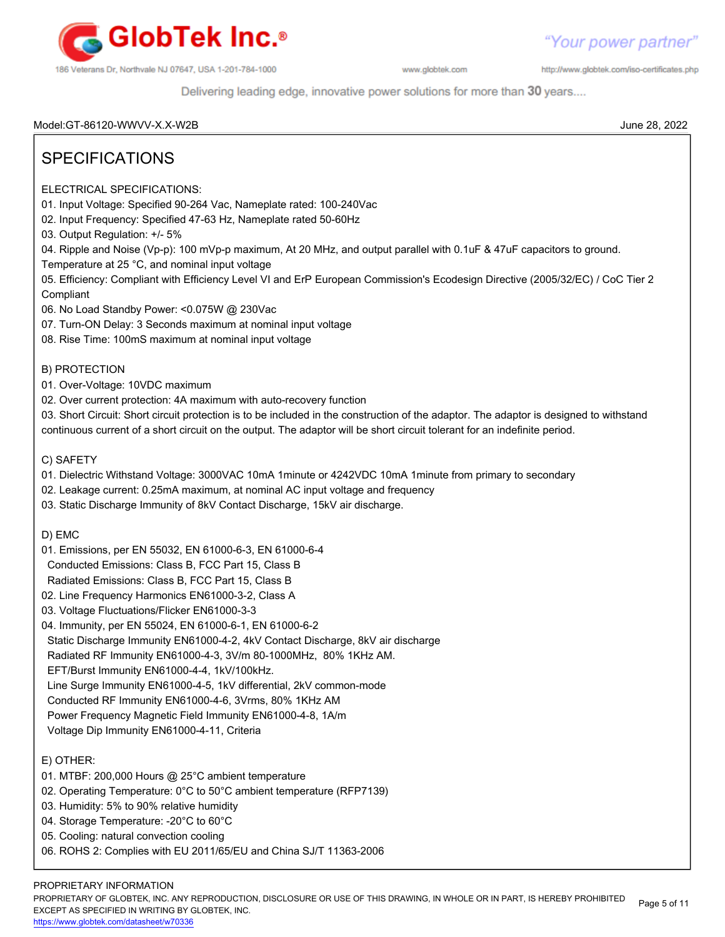

http://www.globtek.com/iso-certificates.php

Delivering leading edge, innovative power solutions for more than 30 years....

Model:GT-86120-WWVV-X.X-W2B June 28, 2022

# SPECIFICATIONS

ELECTRICAL SPECIFICATIONS:

01. Input Voltage: Specified 90-264 Vac, Nameplate rated: 100-240Vac

- 02. Input Frequency: Specified 47-63 Hz, Nameplate rated 50-60Hz
- 03. Output Regulation: +/- 5%

04. Ripple and Noise (Vp-p): 100 mVp-p maximum, At 20 MHz, and output parallel with 0.1uF & 47uF capacitors to ground.

Temperature at 25 °C, and nominal input voltage

05. Efficiency: Compliant with Efficiency Level VI and ErP European Commission's Ecodesign Directive (2005/32/EC) / CoC Tier 2 Compliant

06. No Load Standby Power: <0.075W @ 230Vac

07. Turn-ON Delay: 3 Seconds maximum at nominal input voltage

08. Rise Time: 100mS maximum at nominal input voltage

B) PROTECTION

- 01. Over-Voltage: 10VDC maximum
- 02. Over current protection: 4A maximum with auto-recovery function

03. Short Circuit: Short circuit protection is to be included in the construction of the adaptor. The adaptor is designed to withstand continuous current of a short circuit on the output. The adaptor will be short circuit tolerant for an indefinite period.

C) SAFETY

- 01. Dielectric Withstand Voltage: 3000VAC 10mA 1minute or 4242VDC 10mA 1minute from primary to secondary
- 02. Leakage current: 0.25mA maximum, at nominal AC input voltage and frequency
- 03. Static Discharge Immunity of 8kV Contact Discharge, 15kV air discharge.

D) EMC

- 01. Emissions, per EN 55032, EN 61000-6-3, EN 61000-6-4
- Conducted Emissions: Class B, FCC Part 15, Class B
- Radiated Emissions: Class B, FCC Part 15, Class B
- 02. Line Frequency Harmonics EN61000-3-2, Class A
- 03. Voltage Fluctuations/Flicker EN61000-3-3
- 04. Immunity, per EN 55024, EN 61000-6-1, EN 61000-6-2
- Static Discharge Immunity EN61000-4-2, 4kV Contact Discharge, 8kV air discharge
- Radiated RF Immunity EN61000-4-3, 3V/m 80-1000MHz, 80% 1KHz AM.
- EFT/Burst Immunity EN61000-4-4, 1kV/100kHz.
- Line Surge Immunity EN61000-4-5, 1kV differential, 2kV common-mode
- Conducted RF Immunity EN61000-4-6, 3Vrms, 80% 1KHz AM
- Power Frequency Magnetic Field Immunity EN61000-4-8, 1A/m
- Voltage Dip Immunity EN61000-4-11, Criteria

# E) OTHER:

- 01. MTBF: 200,000 Hours @ 25°C ambient temperature
- 02. Operating Temperature: 0°C to 50°C ambient temperature (RFP7139)
- 03. Humidity: 5% to 90% relative humidity
- 04. Storage Temperature: -20°C to 60°C
- 05. Cooling: natural convection cooling
- 06. ROHS 2: Complies with EU 2011/65/EU and China SJ/T 11363-2006

# PROPRIETARY INFORMATION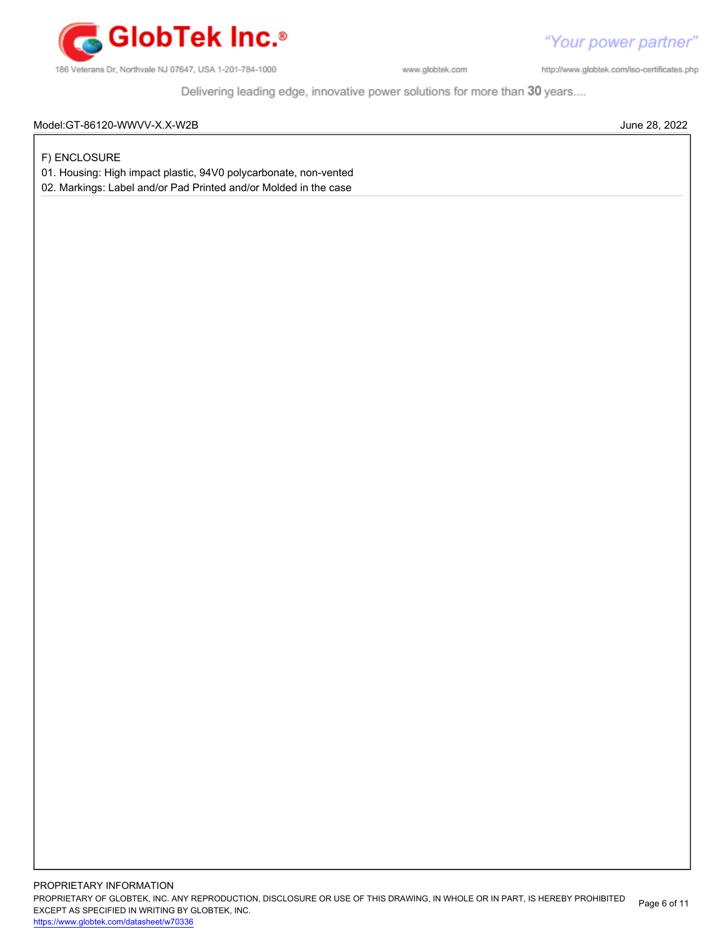

"Your power partner" http://www.globtek.com/iso-certificates.php

Delivering leading edge, innovative power solutions for more than 30 years....

### Model:GT-86120-WWVV-X.X-W2B June 28, 2022

F) ENCLOSURE

01. Housing: High impact plastic, 94V0 polycarbonate, non-vented

02. Markings: Label and/or Pad Printed and/or Molded in the case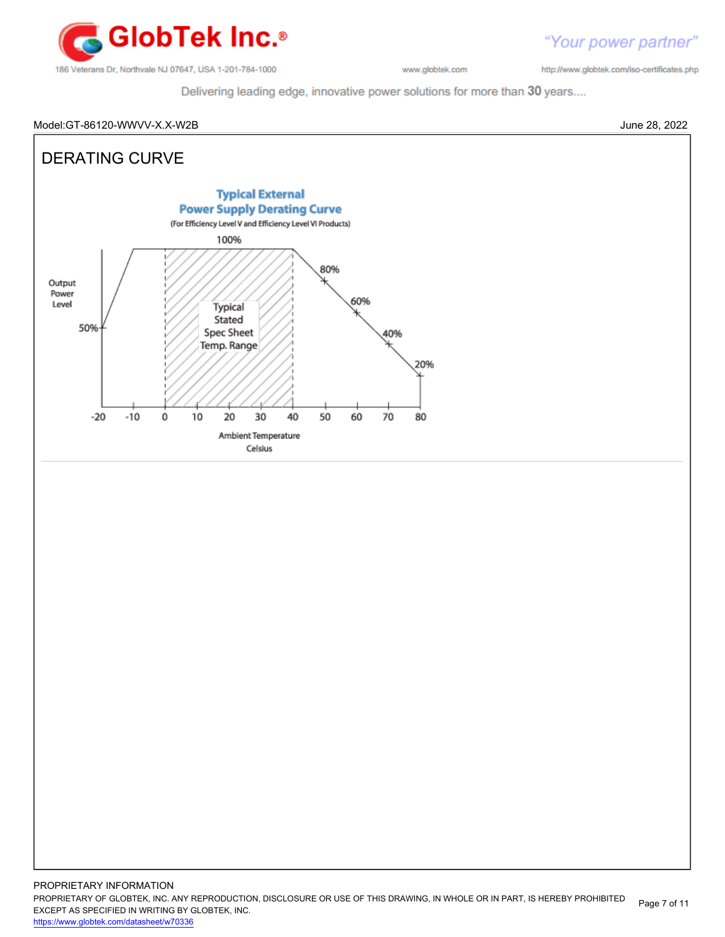

"Your power partner" http://www.globtek.com/iso-certificates.php

Delivering leading edge, innovative power solutions for more than 30 years....

#### Model:GT-86120-WWVV-X.X-W2B June 28, 2022

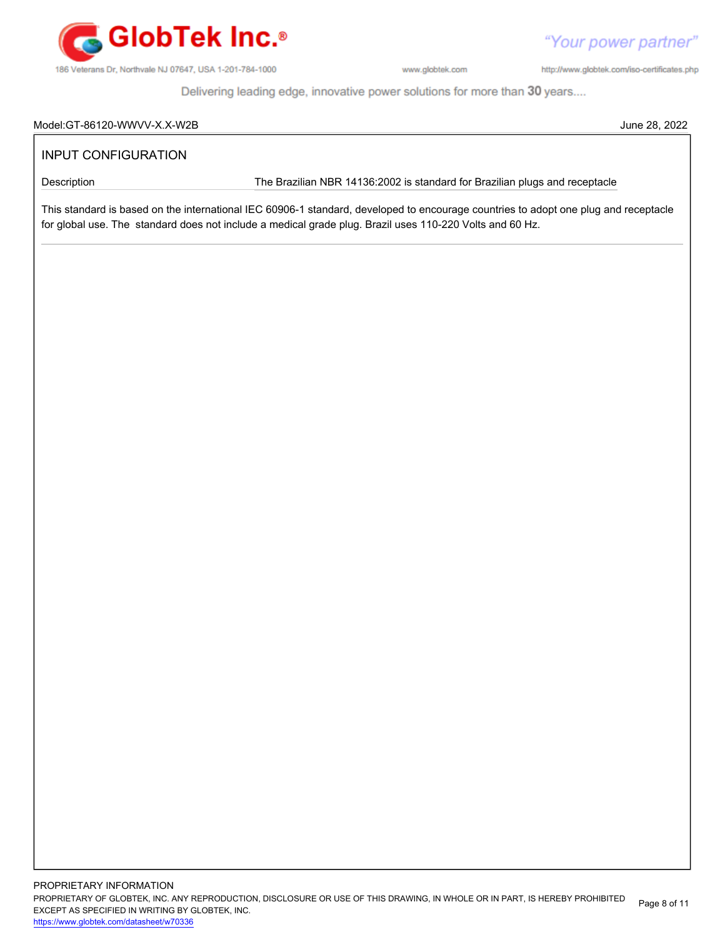

http://www.globtek.com/iso-certificates.php

"Your power partner"

Delivering leading edge, innovative power solutions for more than 30 years....

#### Model:GT-86120-WWVV-X.X-W2B June 28, 2022

# INPUT CONFIGURATION

Description **The Brazilian NBR 14136:2002** is standard for Brazilian plugs and receptacle

This standard is based on the international IEC 60906-1 standard, developed to encourage countries to adopt one plug and receptacle for global use. The standard does not include a medical grade plug. Brazil uses 110-220 Volts and 60 Hz.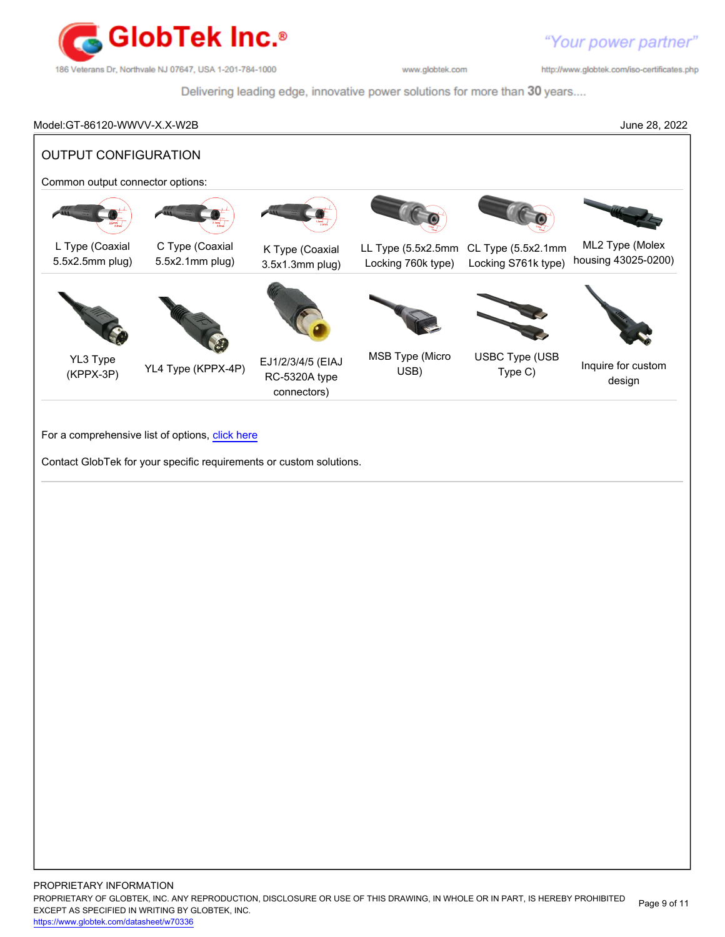

http://www.globtek.com/iso-certificates.php

Delivering leading edge, innovative power solutions for more than 30 years....

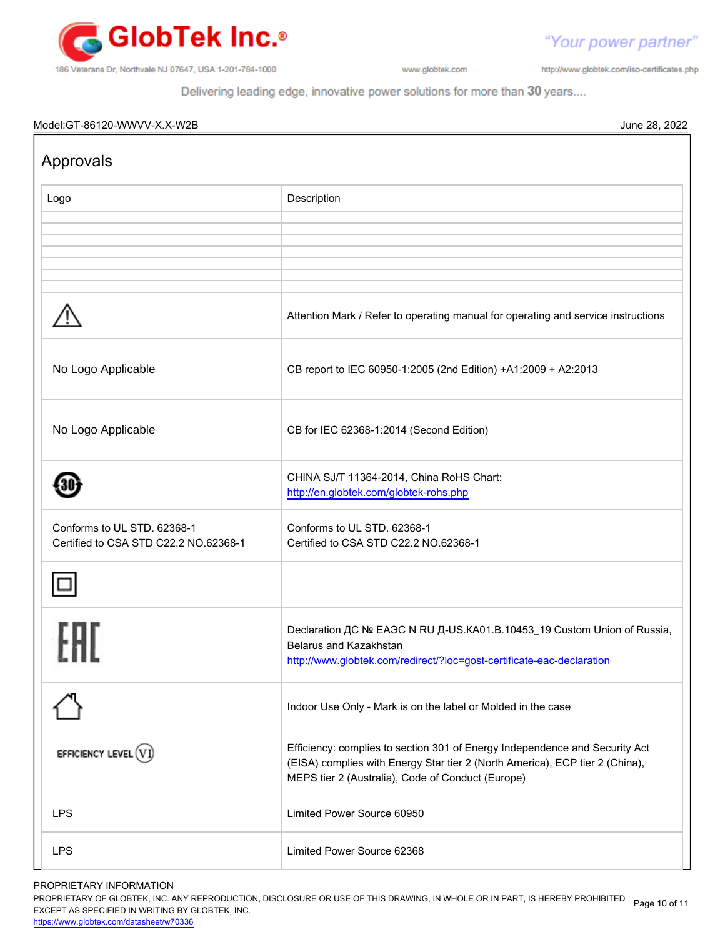

http://www.globtek.com/iso-certificates.php

"Your power partner"

Delivering leading edge, innovative power solutions for more than 30 years....

# Model:GT-86120-WWVV-X.X-W2B June 28, 2022

| Approvals                                                            |                                                                                                                                                                                                                  |
|----------------------------------------------------------------------|------------------------------------------------------------------------------------------------------------------------------------------------------------------------------------------------------------------|
| Logo                                                                 | Description                                                                                                                                                                                                      |
|                                                                      |                                                                                                                                                                                                                  |
|                                                                      |                                                                                                                                                                                                                  |
|                                                                      | Attention Mark / Refer to operating manual for operating and service instructions                                                                                                                                |
| No Logo Applicable                                                   | CB report to IEC 60950-1:2005 (2nd Edition) +A1:2009 + A2:2013                                                                                                                                                   |
| No Logo Applicable                                                   | CB for IEC 62368-1:2014 (Second Edition)                                                                                                                                                                         |
|                                                                      | CHINA SJ/T 11364-2014, China RoHS Chart:<br>http://en.globtek.com/globtek-rohs.php                                                                                                                               |
| Conforms to UL STD. 62368-1<br>Certified to CSA STD C22.2 NO.62368-1 | Conforms to UL STD. 62368-1<br>Certified to CSA STD C22.2 NO.62368-1                                                                                                                                             |
|                                                                      |                                                                                                                                                                                                                  |
|                                                                      | Declaration ДС № ЕАЭС N RU Д-US.KA01.B.10453_19 Custom Union of Russia,<br>Belarus and Kazakhstan<br>http://www.globtek.com/redirect/?loc=gost-certificate-eac-declaration                                       |
|                                                                      | Indoor Use Only - Mark is on the label or Molded in the case                                                                                                                                                     |
| EFFICIENCY LEVEL (V                                                  | Efficiency: complies to section 301 of Energy Independence and Security Act<br>(EISA) complies with Energy Star tier 2 (North America), ECP tier 2 (China),<br>MEPS tier 2 (Australia), Code of Conduct (Europe) |
| <b>LPS</b>                                                           | Limited Power Source 60950                                                                                                                                                                                       |
| <b>LPS</b>                                                           | Limited Power Source 62368                                                                                                                                                                                       |

#### PROPRIETARY INFORMATION

PROPRIETARY OF GLOBTEK, INC. ANY REPRODUCTION, DISCLOSURE OR USE OF THIS DRAWING, IN WHOLE OR IN PART, IS HEREBY PROHIBITED Page 10 of 11<br>EXALER 10 OREGIEIER WILKENIG BY OLOREEK WO EXCEPT AS SPECIFIED IN WRITING BY GLOBTEK, INC.